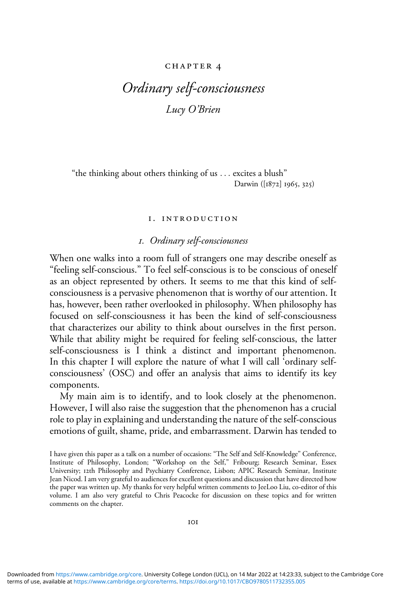#### CHAPTER 4

# Ordinary self-consciousness Lucy O'Brien

"the thinking about others thinking of us ... excites a blush" Darwin ([1872] 1965, 325)

#### i. introduction

## 1. Ordinary self-consciousness

When one walks into a room full of strangers one may describe oneself as "feeling self-conscious." To feel self-conscious is to be conscious of oneself as an object represented by others. It seems to me that this kind of selfconsciousness is a pervasive phenomenon that is worthy of our attention. It has, however, been rather overlooked in philosophy. When philosophy has focused on self-consciousness it has been the kind of self-consciousness that characterizes our ability to think about ourselves in the first person. While that ability might be required for feeling self-conscious, the latter self-consciousness is I think a distinct and important phenomenon. In this chapter I will explore the nature of what I will call 'ordinary selfconsciousness' (OSC) and offer an analysis that aims to identify its key components.

My main aim is to identify, and to look closely at the phenomenon. However, I will also raise the suggestion that the phenomenon has a crucial role to play in explaining and understanding the nature of the self-conscious emotions of guilt, shame, pride, and embarrassment. Darwin has tended to

I have given this paper as a talk on a number of occasions: "The Self and Self-Knowledge" Conference, Institute of Philosophy, London; "Workshop on the Self," Fribourg; Research Seminar, Essex University; 12th Philosophy and Psychiatry Conference, Lisbon; APIC Research Seminar, Institute Jean Nicod. I am very grateful to audiences for excellent questions and discussion that have directed how the paper was written up. My thanks for very helpful written comments to JeeLoo Liu, co-editor of this volume. I am also very grateful to Chris Peacocke for discussion on these topics and for written comments on the chapter.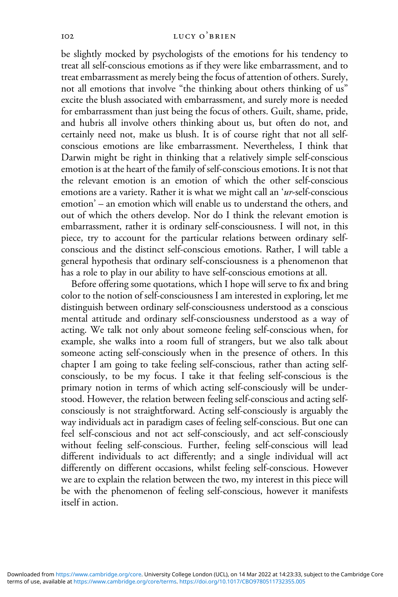be slightly mocked by psychologists of the emotions for his tendency to treat all self-conscious emotions as if they were like embarrassment, and to treat embarrassment as merely being the focus of attention of others. Surely, not all emotions that involve "the thinking about others thinking of us" excite the blush associated with embarrassment, and surely more is needed for embarrassment than just being the focus of others. Guilt, shame, pride, and hubris all involve others thinking about us, but often do not, and certainly need not, make us blush. It is of course right that not all selfconscious emotions are like embarrassment. Nevertheless, I think that Darwin might be right in thinking that a relatively simple self-conscious emotion is at the heart of the family of self-conscious emotions. It is not that the relevant emotion is an emotion of which the other self-conscious emotions are a variety. Rather it is what we might call an ' $ur$ -self-conscious emotion' – an emotion which will enable us to understand the others, and out of which the others develop. Nor do I think the relevant emotion is embarrassment, rather it is ordinary self-consciousness. I will not, in this piece, try to account for the particular relations between ordinary selfconscious and the distinct self-conscious emotions. Rather, I will table a general hypothesis that ordinary self-consciousness is a phenomenon that has a role to play in our ability to have self-conscious emotions at all.

Before offering some quotations, which I hope will serve to fix and bring color to the notion of self-consciousness I am interested in exploring, let me distinguish between ordinary self-consciousness understood as a conscious mental attitude and ordinary self-consciousness understood as a way of acting. We talk not only about someone feeling self-conscious when, for example, she walks into a room full of strangers, but we also talk about someone acting self-consciously when in the presence of others. In this chapter I am going to take feeling self-conscious, rather than acting selfconsciously, to be my focus. I take it that feeling self-conscious is the primary notion in terms of which acting self-consciously will be understood. However, the relation between feeling self-conscious and acting selfconsciously is not straightforward. Acting self-consciously is arguably the way individuals act in paradigm cases of feeling self-conscious. But one can feel self-conscious and not act self-consciously, and act self-consciously without feeling self-conscious. Further, feeling self-conscious will lead different individuals to act differently; and a single individual will act differently on different occasions, whilst feeling self-conscious. However we are to explain the relation between the two, my interest in this piece will be with the phenomenon of feeling self-conscious, however it manifests itself in action.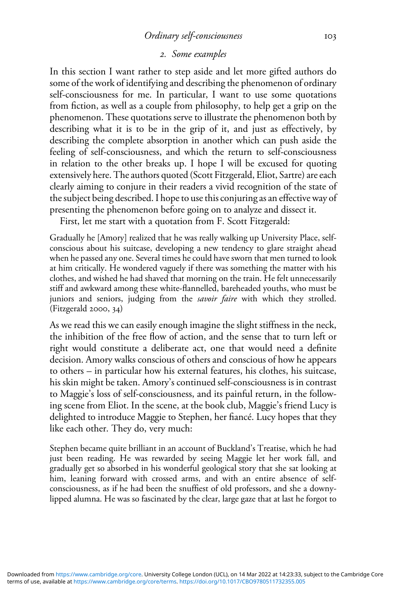## Ordinary self-consciousness 103

### 2. Some examples

In this section I want rather to step aside and let more gifted authors do some of the work of identifying and describing the phenomenon of ordinary self-consciousness for me. In particular, I want to use some quotations from fiction, as well as a couple from philosophy, to help get a grip on the phenomenon. These quotations serve to illustrate the phenomenon both by describing what it is to be in the grip of it, and just as effectively, by describing the complete absorption in another which can push aside the feeling of self-consciousness, and which the return to self-consciousness in relation to the other breaks up. I hope I will be excused for quoting extensively here. The authors quoted (Scott Fitzgerald, Eliot, Sartre) are each clearly aiming to conjure in their readers a vivid recognition of the state of the subject being described. I hope to use this conjuring as an effective way of presenting the phenomenon before going on to analyze and dissect it.

First, let me start with a quotation from F. Scott Fitzgerald:

Gradually he [Amory] realized that he was really walking up University Place, selfconscious about his suitcase, developing a new tendency to glare straight ahead when he passed any one. Several times he could have sworn that men turned to look at him critically. He wondered vaguely if there was something the matter with his clothes, and wished he had shaved that morning on the train. He felt unnecessarily stiff and awkward among these white-flannelled, bareheaded youths, who must be juniors and seniors, judging from the savoir faire with which they strolled. (Fitzgerald 2000, 34)

As we read this we can easily enough imagine the slight stiffness in the neck, the inhibition of the free flow of action, and the sense that to turn left or right would constitute a deliberate act, one that would need a definite decision. Amory walks conscious of others and conscious of how he appears to others – in particular how his external features, his clothes, his suitcase, his skin might be taken. Amory's continued self-consciousness is in contrast to Maggie's loss of self-consciousness, and its painful return, in the following scene from Eliot. In the scene, at the book club, Maggie's friend Lucy is delighted to introduce Maggie to Stephen, her fiancé. Lucy hopes that they like each other. They do, very much:

Stephen became quite brilliant in an account of Buckland's Treatise, which he had just been reading. He was rewarded by seeing Maggie let her work fall, and gradually get so absorbed in his wonderful geological story that she sat looking at him, leaning forward with crossed arms, and with an entire absence of selfconsciousness, as if he had been the snuffiest of old professors, and she a downylipped alumna. He was so fascinated by the clear, large gaze that at last he forgot to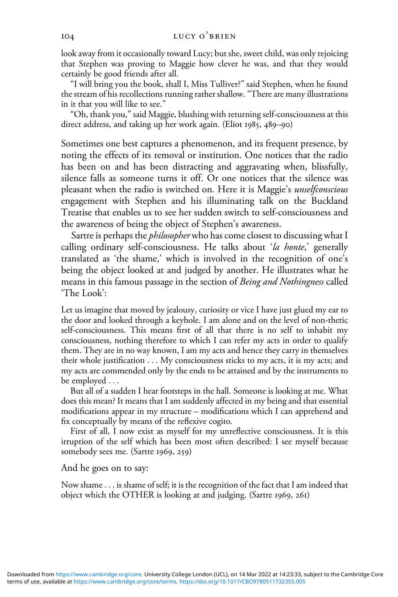look away from it occasionally toward Lucy; but she, sweet child, was only rejoicing that Stephen was proving to Maggie how clever he was, and that they would certainly be good friends after all.

"I will bring you the book, shall I, Miss Tulliver?" said Stephen, when he found the stream of his recollections running rather shallow."There are many illustrations in it that you will like to see."

"Oh, thank you,"said Maggie, blushing with returning self-consciousness at this direct address, and taking up her work again. (Eliot 1985, 489–90)

Sometimes one best captures a phenomenon, and its frequent presence, by noting the effects of its removal or institution. One notices that the radio has been on and has been distracting and aggravating when, blissfully, silence falls as someone turns it off. Or one notices that the silence was pleasant when the radio is switched on. Here it is Maggie's unselfconscious engagement with Stephen and his illuminating talk on the Buckland Treatise that enables us to see her sudden switch to self-consciousness and the awareness of being the object of Stephen's awareness.

Sartre is perhaps the *philosopher* who has come closest to discussing what I calling ordinary self-consciousness. He talks about 'la honte,' generally translated as 'the shame,' which is involved in the recognition of one's being the object looked at and judged by another. He illustrates what he means in this famous passage in the section of Being and Nothingness called 'The Look':

Let us imagine that moved by jealousy, curiosity or vice I have just glued my ear to the door and looked through a keyhole. I am alone and on the level of non-thetic self-consciousness. This means first of all that there is no self to inhabit my consciousness, nothing therefore to which I can refer my acts in order to qualify them. They are in no way known, I am my acts and hence they carry in themselves their whole justification ... My consciousness sticks to my acts, it is my acts; and my acts are commended only by the ends to be attained and by the instruments to be employed ...

But all of a sudden I hear footsteps in the hall. Someone is looking at me. What does this mean? It means that I am suddenly affected in my being and that essential modifications appear in my structure – modifications which I can apprehend and fix conceptually by means of the reflexive cogito.

First of all, I now exist as myself for my unreflective consciousness. It is this irruption of the self which has been most often described: I see myself because somebody sees me. (Sartre 1969, 259)

And he goes on to say:

Now shame... is shame of self; it is the recognition of the fact that I am indeed that object which the OTHER is looking at and judging. (Sartre 1969, 261)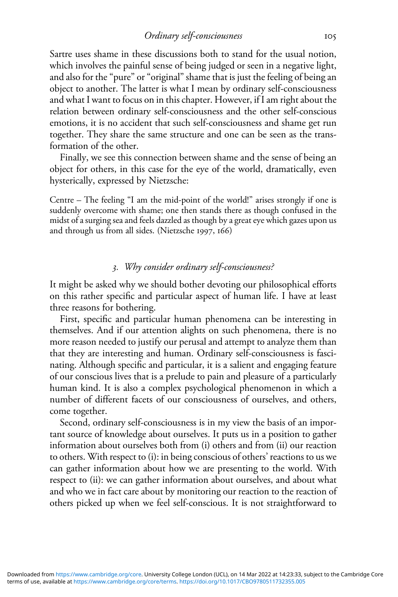Sartre uses shame in these discussions both to stand for the usual notion, which involves the painful sense of being judged or seen in a negative light, and also for the "pure" or "original" shame that is just the feeling of being an object to another. The latter is what I mean by ordinary self-consciousness and what I want to focus on in this chapter. However, if I am right about the relation between ordinary self-consciousness and the other self-conscious emotions, it is no accident that such self-consciousness and shame get run together. They share the same structure and one can be seen as the transformation of the other.

Finally, we see this connection between shame and the sense of being an object for others, in this case for the eye of the world, dramatically, even hysterically, expressed by Nietzsche:

Centre – The feeling "I am the mid-point of the world!" arises strongly if one is suddenly overcome with shame; one then stands there as though confused in the midst of a surging sea and feels dazzled as though by a great eye which gazes upon us and through us from all sides. (Nietzsche 1997, 166)

## 3. Why consider ordinary self-consciousness?

It might be asked why we should bother devoting our philosophical efforts on this rather specific and particular aspect of human life. I have at least three reasons for bothering.

First, specific and particular human phenomena can be interesting in themselves. And if our attention alights on such phenomena, there is no more reason needed to justify our perusal and attempt to analyze them than that they are interesting and human. Ordinary self-consciousness is fascinating. Although specific and particular, it is a salient and engaging feature of our conscious lives that is a prelude to pain and pleasure of a particularly human kind. It is also a complex psychological phenomenon in which a number of different facets of our consciousness of ourselves, and others, come together.

Second, ordinary self-consciousness is in my view the basis of an important source of knowledge about ourselves. It puts us in a position to gather information about ourselves both from (i) others and from (ii) our reaction to others. With respect to (i): in being conscious of others' reactions to us we can gather information about how we are presenting to the world. With respect to (ii): we can gather information about ourselves, and about what and who we in fact care about by monitoring our reaction to the reaction of others picked up when we feel self-conscious. It is not straightforward to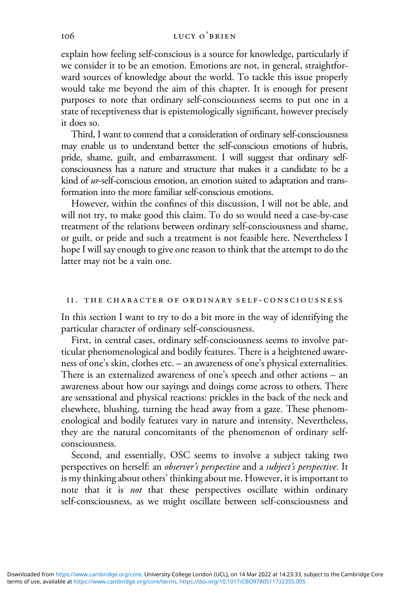explain how feeling self-conscious is a source for knowledge, particularly if we consider it to be an emotion. Emotions are not, in general, straightforward sources of knowledge about the world. To tackle this issue properly would take me beyond the aim of this chapter. It is enough for present purposes to note that ordinary self-consciousness seems to put one in a state of receptiveness that is epistemologically significant, however precisely it does so.

Third, I want to contend that a consideration of ordinary self-consciousness may enable us to understand better the self-conscious emotions of hubris, pride, shame, guilt, and embarrassment. I will suggest that ordinary selfconsciousness has a nature and structure that makes it a candidate to be a kind of ur-self-conscious emotion, an emotion suited to adaptation and transformation into the more familiar self-conscious emotions.

However, within the confines of this discussion, I will not be able, and will not try, to make good this claim. To do so would need a case-by-case treatment of the relations between ordinary self-consciousness and shame, or guilt, or pride and such a treatment is not feasible here. Nevertheless I hope I will say enough to give one reason to think that the attempt to do the latter may not be a vain one.

#### ii. the character of ordinary self-consciousness

In this section I want to try to do a bit more in the way of identifying the particular character of ordinary self-consciousness.

First, in central cases, ordinary self-consciousness seems to involve particular phenomenological and bodily features. There is a heightened awareness of one's skin, clothes etc. – an awareness of one's physical externalities. There is an externalized awareness of one's speech and other actions – an awareness about how our sayings and doings come across to others. There are sensational and physical reactions: prickles in the back of the neck and elsewhere, blushing, turning the head away from a gaze. These phenomenological and bodily features vary in nature and intensity. Nevertheless, they are the natural concomitants of the phenomenon of ordinary selfconsciousness.

Second, and essentially, OSC seems to involve a subject taking two perspectives on herself: an observer's perspective and a subject's perspective. It is my thinking about others' thinking about me. However, it is important to note that it is *not* that these perspectives oscillate within ordinary self-consciousness, as we might oscillate between self-consciousness and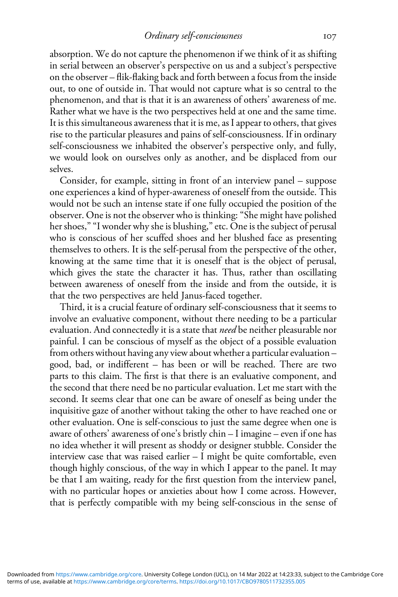absorption. We do not capture the phenomenon if we think of it as shifting in serial between an observer's perspective on us and a subject's perspective on the observer – flik-flaking back and forth between a focus from the inside out, to one of outside in. That would not capture what is so central to the phenomenon, and that is that it is an awareness of others' awareness of me. Rather what we have is the two perspectives held at one and the same time. It is this simultaneous awareness that it is me, as I appear to others, that gives rise to the particular pleasures and pains of self-consciousness. If in ordinary self-consciousness we inhabited the observer's perspective only, and fully, we would look on ourselves only as another, and be displaced from our selves.

Consider, for example, sitting in front of an interview panel – suppose one experiences a kind of hyper-awareness of oneself from the outside. This would not be such an intense state if one fully occupied the position of the observer. One is not the observer who is thinking:"She might have polished her shoes," "I wonder why she is blushing,"etc. One is the subject of perusal who is conscious of her scuffed shoes and her blushed face as presenting themselves to others. It is the self-perusal from the perspective of the other, knowing at the same time that it is oneself that is the object of perusal, which gives the state the character it has. Thus, rather than oscillating between awareness of oneself from the inside and from the outside, it is that the two perspectives are held Janus-faced together.

Third, it is a crucial feature of ordinary self-consciousness that it seems to involve an evaluative component, without there needing to be a particular evaluation. And connectedly it is a state that need be neither pleasurable nor painful. I can be conscious of myself as the object of a possible evaluation from others without having any view about whether a particular evaluation – good, bad, or indifferent – has been or will be reached. There are two parts to this claim. The first is that there is an evaluative component, and the second that there need be no particular evaluation. Let me start with the second. It seems clear that one can be aware of oneself as being under the inquisitive gaze of another without taking the other to have reached one or other evaluation. One is self-conscious to just the same degree when one is aware of others' awareness of one's bristly chin – I imagine – even if one has no idea whether it will present as shoddy or designer stubble. Consider the interview case that was raised earlier – I might be quite comfortable, even though highly conscious, of the way in which I appear to the panel. It may be that I am waiting, ready for the first question from the interview panel, with no particular hopes or anxieties about how I come across. However, that is perfectly compatible with my being self-conscious in the sense of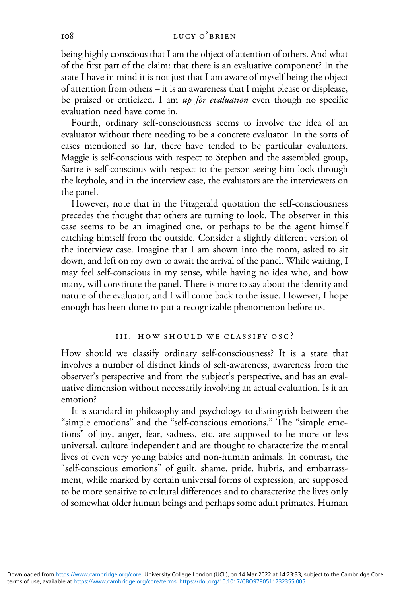being highly conscious that I am the object of attention of others. And what of the first part of the claim: that there is an evaluative component? In the state I have in mind it is not just that I am aware of myself being the object of attention from others – it is an awareness that I might please or displease, be praised or criticized. I am up for evaluation even though no specific evaluation need have come in.

Fourth, ordinary self-consciousness seems to involve the idea of an evaluator without there needing to be a concrete evaluator. In the sorts of cases mentioned so far, there have tended to be particular evaluators. Maggie is self-conscious with respect to Stephen and the assembled group, Sartre is self-conscious with respect to the person seeing him look through the keyhole, and in the interview case, the evaluators are the interviewers on the panel.

However, note that in the Fitzgerald quotation the self-consciousness precedes the thought that others are turning to look. The observer in this case seems to be an imagined one, or perhaps to be the agent himself catching himself from the outside. Consider a slightly different version of the interview case. Imagine that I am shown into the room, asked to sit down, and left on my own to await the arrival of the panel. While waiting, I may feel self-conscious in my sense, while having no idea who, and how many, will constitute the panel. There is more to say about the identity and nature of the evaluator, and I will come back to the issue. However, I hope enough has been done to put a recognizable phenomenon before us.

#### iii. how should we classify osc?

How should we classify ordinary self-consciousness? It is a state that involves a number of distinct kinds of self-awareness, awareness from the observer's perspective and from the subject's perspective, and has an evaluative dimension without necessarily involving an actual evaluation. Is it an emotion?

It is standard in philosophy and psychology to distinguish between the "simple emotions" and the "self-conscious emotions." The "simple emotions" of joy, anger, fear, sadness, etc. are supposed to be more or less universal, culture independent and are thought to characterize the mental lives of even very young babies and non-human animals. In contrast, the "self-conscious emotions" of guilt, shame, pride, hubris, and embarrassment, while marked by certain universal forms of expression, are supposed to be more sensitive to cultural differences and to characterize the lives only of somewhat older human beings and perhaps some adult primates. Human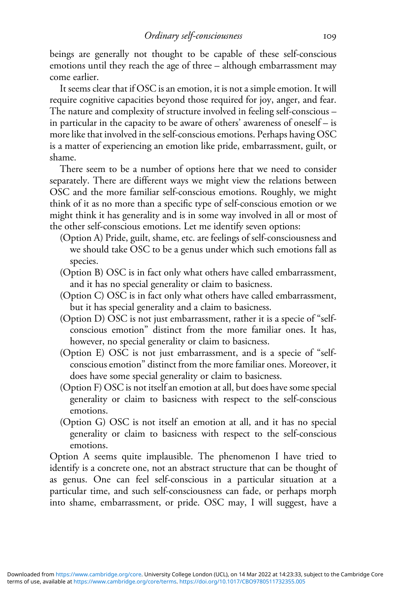beings are generally not thought to be capable of these self-conscious emotions until they reach the age of three – although embarrassment may come earlier.

It seems clear that if OSC is an emotion, it is not a simple emotion. It will require cognitive capacities beyond those required for joy, anger, and fear. The nature and complexity of structure involved in feeling self-conscious – in particular in the capacity to be aware of others' awareness of oneself – is more like that involved in the self-conscious emotions. Perhaps having OSC is a matter of experiencing an emotion like pride, embarrassment, guilt, or shame.

There seem to be a number of options here that we need to consider separately. There are different ways we might view the relations between OSC and the more familiar self-conscious emotions. Roughly, we might think of it as no more than a specific type of self-conscious emotion or we might think it has generality and is in some way involved in all or most of the other self-conscious emotions. Let me identify seven options:

- (Option A) Pride, guilt, shame, etc. are feelings of self-consciousness and we should take OSC to be a genus under which such emotions fall as species.
- (Option B) OSC is in fact only what others have called embarrassment, and it has no special generality or claim to basicness.
- (Option C) OSC is in fact only what others have called embarrassment, but it has special generality and a claim to basicness.
- (Option D) OSC is not just embarrassment, rather it is a specie of "selfconscious emotion" distinct from the more familiar ones. It has, however, no special generality or claim to basicness.
- (Option E) OSC is not just embarrassment, and is a specie of "selfconscious emotion" distinct from the more familiar ones. Moreover, it does have some special generality or claim to basicness.
- (Option F) OSC is not itself an emotion at all, but does have some special generality or claim to basicness with respect to the self-conscious emotions.
- (Option G) OSC is not itself an emotion at all, and it has no special generality or claim to basicness with respect to the self-conscious emotions.

Option A seems quite implausible. The phenomenon I have tried to identify is a concrete one, not an abstract structure that can be thought of as genus. One can feel self-conscious in a particular situation at a particular time, and such self-consciousness can fade, or perhaps morph into shame, embarrassment, or pride. OSC may, I will suggest, have a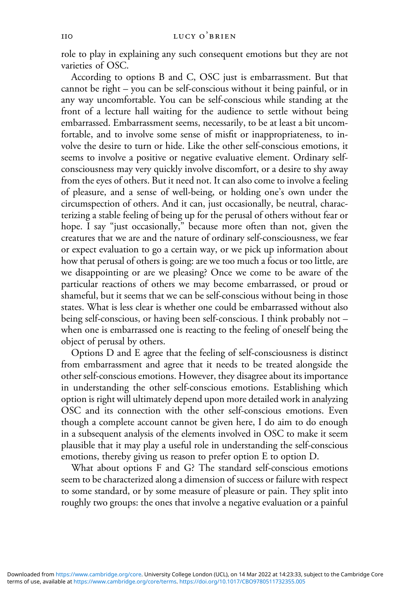role to play in explaining any such consequent emotions but they are not varieties of OSC.

According to options B and C, OSC just is embarrassment. But that cannot be right – you can be self-conscious without it being painful, or in any way uncomfortable. You can be self-conscious while standing at the front of a lecture hall waiting for the audience to settle without being embarrassed. Embarrassment seems, necessarily, to be at least a bit uncomfortable, and to involve some sense of misfit or inappropriateness, to involve the desire to turn or hide. Like the other self-conscious emotions, it seems to involve a positive or negative evaluative element. Ordinary selfconsciousness may very quickly involve discomfort, or a desire to shy away from the eyes of others. But it need not. It can also come to involve a feeling of pleasure, and a sense of well-being, or holding one's own under the circumspection of others. And it can, just occasionally, be neutral, characterizing a stable feeling of being up for the perusal of others without fear or hope. I say "just occasionally," because more often than not, given the creatures that we are and the nature of ordinary self-consciousness, we fear or expect evaluation to go a certain way, or we pick up information about how that perusal of others is going: are we too much a focus or too little, are we disappointing or are we pleasing? Once we come to be aware of the particular reactions of others we may become embarrassed, or proud or shameful, but it seems that we can be self-conscious without being in those states. What is less clear is whether one could be embarrassed without also being self-conscious, or having been self-conscious. I think probably not – when one is embarrassed one is reacting to the feeling of oneself being the object of perusal by others.

Options D and E agree that the feeling of self-consciousness is distinct from embarrassment and agree that it needs to be treated alongside the other self-conscious emotions. However, they disagree about its importance in understanding the other self-conscious emotions. Establishing which option is right will ultimately depend upon more detailed work in analyzing OSC and its connection with the other self-conscious emotions. Even though a complete account cannot be given here, I do aim to do enough in a subsequent analysis of the elements involved in OSC to make it seem plausible that it may play a useful role in understanding the self-conscious emotions, thereby giving us reason to prefer option E to option D.

What about options F and G? The standard self-conscious emotions seem to be characterized along a dimension of success or failure with respect to some standard, or by some measure of pleasure or pain. They split into roughly two groups: the ones that involve a negative evaluation or a painful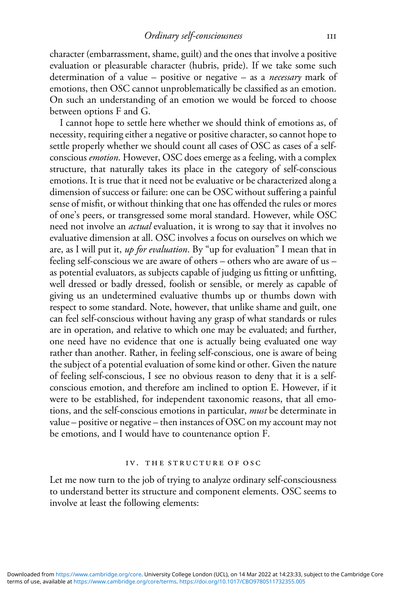character (embarrassment, shame, guilt) and the ones that involve a positive evaluation or pleasurable character (hubris, pride). If we take some such determination of a value – positive or negative – as a *necessary* mark of emotions, then OSC cannot unproblematically be classified as an emotion. On such an understanding of an emotion we would be forced to choose between options F and G.

I cannot hope to settle here whether we should think of emotions as, of necessity, requiring either a negative or positive character, so cannot hope to settle properly whether we should count all cases of OSC as cases of a selfconscious emotion. However, OSC does emerge as a feeling, with a complex structure, that naturally takes its place in the category of self-conscious emotions. It is true that it need not be evaluative or be characterized along a dimension of success or failure: one can be OSC without suffering a painful sense of misfit, or without thinking that one has offended the rules or mores of one's peers, or transgressed some moral standard. However, while OSC need not involve an *actual* evaluation, it is wrong to say that it involves no evaluative dimension at all. OSC involves a focus on ourselves on which we are, as I will put it, up for evaluation. By "up for evaluation" I mean that in feeling self-conscious we are aware of others – others who are aware of us – as potential evaluators, as subjects capable of judging us fitting or unfitting, well dressed or badly dressed, foolish or sensible, or merely as capable of giving us an undetermined evaluative thumbs up or thumbs down with respect to some standard. Note, however, that unlike shame and guilt, one can feel self-conscious without having any grasp of what standards or rules are in operation, and relative to which one may be evaluated; and further, one need have no evidence that one is actually being evaluated one way rather than another. Rather, in feeling self-conscious, one is aware of being the subject of a potential evaluation of some kind or other. Given the nature of feeling self-conscious, I see no obvious reason to deny that it is a selfconscious emotion, and therefore am inclined to option E. However, if it were to be established, for independent taxonomic reasons, that all emotions, and the self-conscious emotions in particular, must be determinate in value – positive or negative – then instances of OSC on my account may not be emotions, and I would have to countenance option F.

### iv. the structure of osc

Let me now turn to the job of trying to analyze ordinary self-consciousness to understand better its structure and component elements. OSC seems to involve at least the following elements: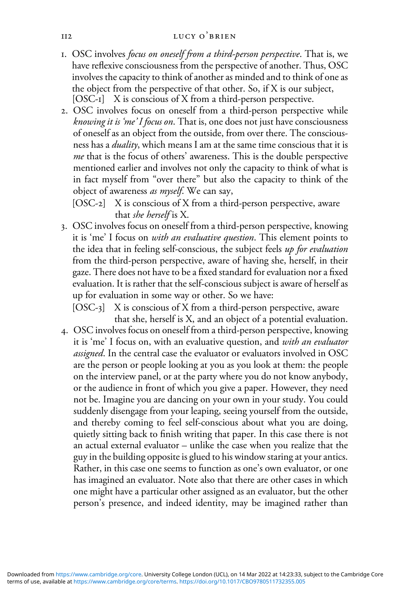- 1. OSC involves focus on oneself from a third-person perspective. That is, we have reflexive consciousness from the perspective of another. Thus, OSC involves the capacity to think of another as minded and to think of one as the object from the perspective of that other. So, if X is our subject, [OSC-I] X is conscious of X from a third-person perspective.
- 2. OSC involves focus on oneself from a third-person perspective while knowing it is 'me' I focus on. That is, one does not just have consciousness of oneself as an object from the outside, from over there. The consciousness has a duality, which means I am at the same time conscious that it is me that is the focus of others' awareness. This is the double perspective mentioned earlier and involves not only the capacity to think of what is in fact myself from "over there" but also the capacity to think of the object of awareness as myself. We can say,

3. OSC involves focus on oneself from a third-person perspective, knowing it is 'me' I focus on with an evaluative question. This element points to the idea that in feeling self-conscious, the subject feels up for evaluation from the third-person perspective, aware of having she, herself, in their gaze. There does not have to be a fixed standard for evaluation nor a fixed evaluation. It is rather that the self-conscious subject is aware of herself as up for evaluation in some way or other. So we have:

[OSC-3] X is conscious of X from a third-person perspective, aware

that she, herself is X, and an object of a potential evaluation.

4. OSC involves focus on oneself from a third-person perspective, knowing it is 'me' I focus on, with an evaluative question, and with an evaluator assigned. In the central case the evaluator or evaluators involved in OSC are the person or people looking at you as you look at them: the people on the interview panel, or at the party where you do not know anybody, or the audience in front of which you give a paper. However, they need not be. Imagine you are dancing on your own in your study. You could suddenly disengage from your leaping, seeing yourself from the outside, and thereby coming to feel self-conscious about what you are doing, quietly sitting back to finish writing that paper. In this case there is not an actual external evaluator – unlike the case when you realize that the guy in the building opposite is glued to his window staring at your antics. Rather, in this case one seems to function as one's own evaluator, or one has imagined an evaluator. Note also that there are other cases in which one might have a particular other assigned as an evaluator, but the other person's presence, and indeed identity, may be imagined rather than

<sup>[</sup>OSC-2] X is conscious of X from a third-person perspective, aware that she herself is X.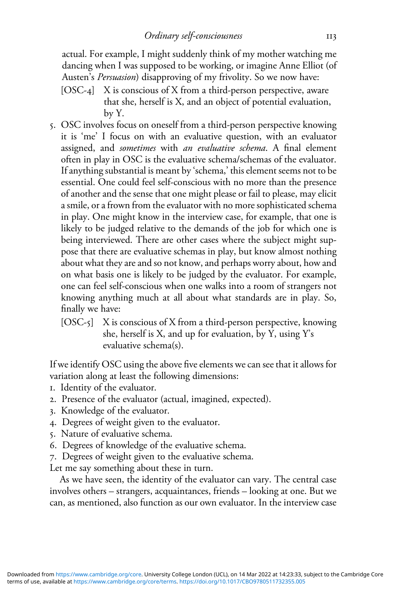actual. For example, I might suddenly think of my mother watching me dancing when I was supposed to be working, or imagine Anne Elliot (of Austen's Persuasion) disapproving of my frivolity. So we now have:

- [OSC-4] X is conscious of X from a third-person perspective, aware that she, herself is X, and an object of potential evaluation, by Y.
- 5. OSC involves focus on oneself from a third-person perspective knowing it is 'me' I focus on with an evaluative question, with an evaluator assigned, and *sometimes* with an evaluative schema. A final element often in play in OSC is the evaluative schema/schemas of the evaluator. If anything substantial is meant by 'schema,' this element seems not to be essential. One could feel self-conscious with no more than the presence of another and the sense that one might please or fail to please, may elicit a smile, or a frown from the evaluator with no more sophisticated schema in play. One might know in the interview case, for example, that one is likely to be judged relative to the demands of the job for which one is being interviewed. There are other cases where the subject might suppose that there are evaluative schemas in play, but know almost nothing about what they are and so not know, and perhaps worry about, how and on what basis one is likely to be judged by the evaluator. For example, one can feel self-conscious when one walks into a room of strangers not knowing anything much at all about what standards are in play. So, finally we have:
	- [OSC-5] X is conscious of X from a third-person perspective, knowing she, herself is X, and up for evaluation, by Y, using Y's evaluative schema(s).

If we identify OSC using the above five elements we can see that it allows for variation along at least the following dimensions:

- 1. Identity of the evaluator.
- 2. Presence of the evaluator (actual, imagined, expected).
- 3. Knowledge of the evaluator.
- 4. Degrees of weight given to the evaluator.
- 5. Nature of evaluative schema.
- 6. Degrees of knowledge of the evaluative schema.
- 7. Degrees of weight given to the evaluative schema.

Let me say something about these in turn.

As we have seen, the identity of the evaluator can vary. The central case involves others – strangers, acquaintances, friends – looking at one. But we can, as mentioned, also function as our own evaluator. In the interview case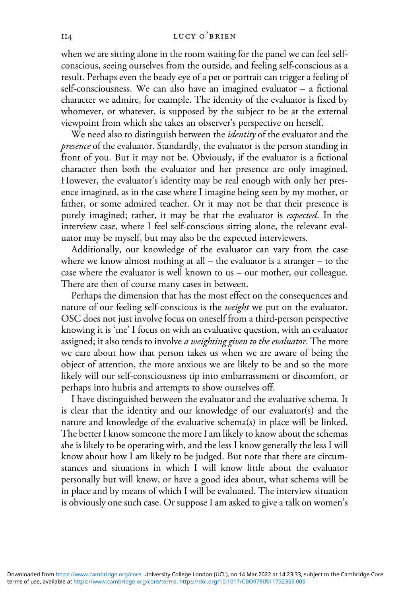when we are sitting alone in the room waiting for the panel we can feel selfconscious, seeing ourselves from the outside, and feeling self-conscious as a result. Perhaps even the beady eye of a pet or portrait can trigger a feeling of self-consciousness. We can also have an imagined evaluator – a fictional character we admire, for example. The identity of the evaluator is fixed by whomever, or whatever, is supposed by the subject to be at the external viewpoint from which she takes an observer's perspective on herself.

We need also to distinguish between the *identity* of the evaluator and the presence of the evaluator. Standardly, the evaluator is the person standing in front of you. But it may not be. Obviously, if the evaluator is a fictional character then both the evaluator and her presence are only imagined. However, the evaluator's identity may be real enough with only her presence imagined, as in the case where I imagine being seen by my mother, or father, or some admired teacher. Or it may not be that their presence is purely imagined; rather, it may be that the evaluator is expected. In the interview case, where I feel self-conscious sitting alone, the relevant evaluator may be myself, but may also be the expected interviewers.

Additionally, our knowledge of the evaluator can vary from the case where we know almost nothing at all – the evaluator is a stranger – to the case where the evaluator is well known to us – our mother, our colleague. There are then of course many cases in between.

Perhaps the dimension that has the most effect on the consequences and nature of our feeling self-conscious is the *weight* we put on the evaluator. OSC does not just involve focus on oneself from a third-person perspective knowing it is 'me' I focus on with an evaluative question, with an evaluator assigned; it also tends to involve *a weighting given to the evaluator*. The more we care about how that person takes us when we are aware of being the object of attention, the more anxious we are likely to be and so the more likely will our self-consciousness tip into embarrassment or discomfort, or perhaps into hubris and attempts to show ourselves off.

I have distinguished between the evaluator and the evaluative schema. It is clear that the identity and our knowledge of our evaluator(s) and the nature and knowledge of the evaluative schema(s) in place will be linked. The better I know someone the more I am likely to know about the schemas she is likely to be operating with, and the less I know generally the less I will know about how I am likely to be judged. But note that there are circumstances and situations in which I will know little about the evaluator personally but will know, or have a good idea about, what schema will be in place and by means of which I will be evaluated. The interview situation is obviously one such case. Or suppose I am asked to give a talk on women's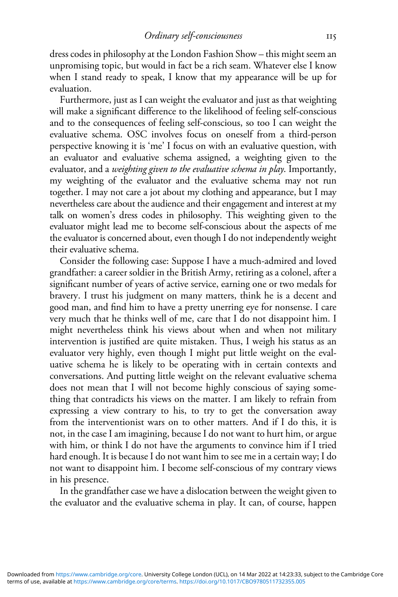dress codes in philosophy at the London Fashion Show – this might seem an unpromising topic, but would in fact be a rich seam. Whatever else I know when I stand ready to speak, I know that my appearance will be up for evaluation.

Furthermore, just as I can weight the evaluator and just as that weighting will make a significant difference to the likelihood of feeling self-conscious and to the consequences of feeling self-conscious, so too I can weight the evaluative schema. OSC involves focus on oneself from a third-person perspective knowing it is 'me' I focus on with an evaluative question, with an evaluator and evaluative schema assigned, a weighting given to the evaluator, and a *weighting given to the evaluative schema in play*. Importantly, my weighting of the evaluator and the evaluative schema may not run together. I may not care a jot about my clothing and appearance, but I may nevertheless care about the audience and their engagement and interest at my talk on women's dress codes in philosophy. This weighting given to the evaluator might lead me to become self-conscious about the aspects of me the evaluator is concerned about, even though I do not independently weight their evaluative schema.

Consider the following case: Suppose I have a much-admired and loved grandfather: a career soldier in the British Army, retiring as a colonel, after a significant number of years of active service, earning one or two medals for bravery. I trust his judgment on many matters, think he is a decent and good man, and find him to have a pretty unerring eye for nonsense. I care very much that he thinks well of me, care that I do not disappoint him. I might nevertheless think his views about when and when not military intervention is justified are quite mistaken. Thus, I weigh his status as an evaluator very highly, even though I might put little weight on the evaluative schema he is likely to be operating with in certain contexts and conversations. And putting little weight on the relevant evaluative schema does not mean that I will not become highly conscious of saying something that contradicts his views on the matter. I am likely to refrain from expressing a view contrary to his, to try to get the conversation away from the interventionist wars on to other matters. And if I do this, it is not, in the case I am imagining, because I do not want to hurt him, or argue with him, or think I do not have the arguments to convince him if I tried hard enough. It is because I do not want him to see me in a certain way; I do not want to disappoint him. I become self-conscious of my contrary views in his presence.

In the grandfather case we have a dislocation between the weight given to the evaluator and the evaluative schema in play. It can, of course, happen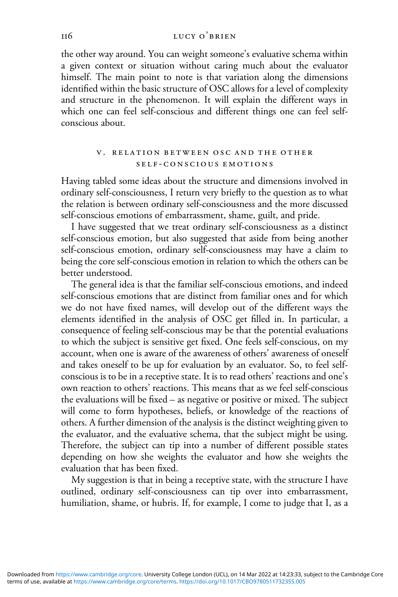the other way around. You can weight someone's evaluative schema within a given context or situation without caring much about the evaluator himself. The main point to note is that variation along the dimensions identified within the basic structure of OSC allows for a level of complexity and structure in the phenomenon. It will explain the different ways in which one can feel self-conscious and different things one can feel selfconscious about.

## v. relation between osc and the other self-conscious emotions

Having tabled some ideas about the structure and dimensions involved in ordinary self-consciousness, I return very briefly to the question as to what the relation is between ordinary self-consciousness and the more discussed self-conscious emotions of embarrassment, shame, guilt, and pride.

I have suggested that we treat ordinary self-consciousness as a distinct self-conscious emotion, but also suggested that aside from being another self-conscious emotion, ordinary self-consciousness may have a claim to being the core self-conscious emotion in relation to which the others can be better understood.

The general idea is that the familiar self-conscious emotions, and indeed self-conscious emotions that are distinct from familiar ones and for which we do not have fixed names, will develop out of the different ways the elements identified in the analysis of OSC get filled in. In particular, a consequence of feeling self-conscious may be that the potential evaluations to which the subject is sensitive get fixed. One feels self-conscious, on my account, when one is aware of the awareness of others' awareness of oneself and takes oneself to be up for evaluation by an evaluator. So, to feel selfconscious is to be in a receptive state. It is to read others' reactions and one's own reaction to others' reactions. This means that as we feel self-conscious the evaluations will be fixed – as negative or positive or mixed. The subject will come to form hypotheses, beliefs, or knowledge of the reactions of others. A further dimension of the analysis is the distinct weighting given to the evaluator, and the evaluative schema, that the subject might be using. Therefore, the subject can tip into a number of different possible states depending on how she weights the evaluator and how she weights the evaluation that has been fixed.

My suggestion is that in being a receptive state, with the structure I have outlined, ordinary self-consciousness can tip over into embarrassment, humiliation, shame, or hubris. If, for example, I come to judge that I, as a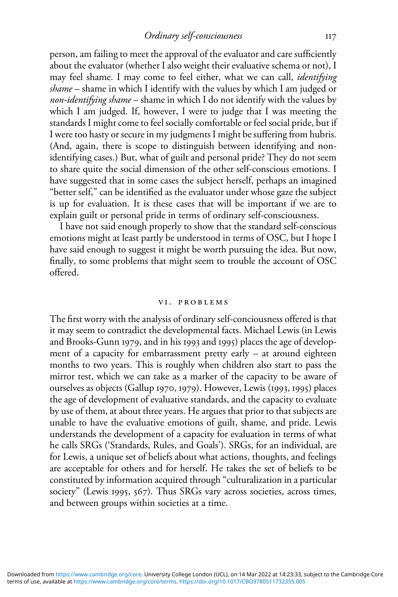person, am failing to meet the approval of the evaluator and care sufficiently about the evaluator (whether I also weight their evaluative schema or not), I may feel shame. I may come to feel either, what we can call, *identifying* shame – shame in which I identify with the values by which I am judged or non-identifying shame – shame in which I do not identify with the values by which I am judged. If, however, I were to judge that I was meeting the standards I might come to feel socially comfortable or feel social pride, but if I were too hasty or secure in my judgments I might be suffering from hubris. (And, again, there is scope to distinguish between identifying and nonidentifying cases.) But, what of guilt and personal pride? They do not seem to share quite the social dimension of the other self-conscious emotions. I have suggested that in some cases the subject herself, perhaps an imagined "better self," can be identified as the evaluator under whose gaze the subject is up for evaluation. It is these cases that will be important if we are to explain guilt or personal pride in terms of ordinary self-consciousness.

I have not said enough properly to show that the standard self-conscious emotions might at least partly be understood in terms of OSC, but I hope I have said enough to suggest it might be worth pursuing the idea. But now, finally, to some problems that might seem to trouble the account of OSC offered.

#### vi. problems

The first worry with the analysis of ordinary self-conciousness offered is that it may seem to contradict the developmental facts. Michael Lewis (in Lewis and Brooks-Gunn 1979, and in his 1993 and 1995) places the age of development of a capacity for embarrassment pretty early – at around eighteen months to two years. This is roughly when children also start to pass the mirror test, which we can take as a marker of the capacity to be aware of ourselves as objects (Gallup 1970, 1979). However, Lewis (1993, 1995) places the age of development of evaluative standards, and the capacity to evaluate by use of them, at about three years. He argues that prior to that subjects are unable to have the evaluative emotions of guilt, shame, and pride. Lewis understands the development of a capacity for evaluation in terms of what he calls SRGs ('Standards, Rules, and Goals'). SRGs, for an individual, are for Lewis, a unique set of beliefs about what actions, thoughts, and feelings are acceptable for others and for herself. He takes the set of beliefs to be constituted by information acquired through "culturalization in a particular society" (Lewis 1995, 567). Thus SRGs vary across societies, across times, and between groups within societies at a time.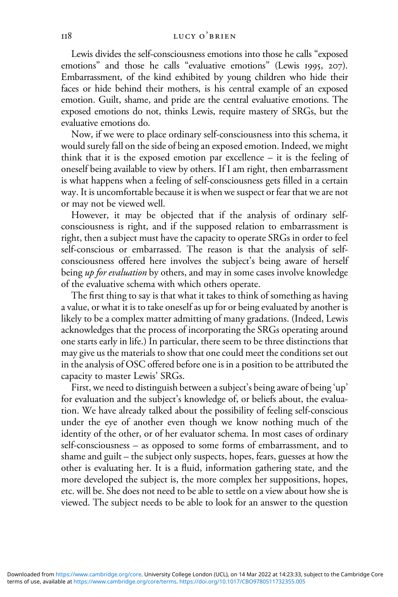Lewis divides the self-consciousness emotions into those he calls "exposed emotions" and those he calls "evaluative emotions" (Lewis 1995, 207). Embarrassment, of the kind exhibited by young children who hide their faces or hide behind their mothers, is his central example of an exposed emotion. Guilt, shame, and pride are the central evaluative emotions. The exposed emotions do not, thinks Lewis, require mastery of SRGs, but the evaluative emotions do.

Now, if we were to place ordinary self-consciousness into this schema, it would surely fall on the side of being an exposed emotion. Indeed, we might think that it is the exposed emotion par excellence – it is the feeling of oneself being available to view by others. If I am right, then embarrassment is what happens when a feeling of self-consciousness gets filled in a certain way. It is uncomfortable because it is when we suspect or fear that we are not or may not be viewed well.

However, it may be objected that if the analysis of ordinary selfconsciousness is right, and if the supposed relation to embarrassment is right, then a subject must have the capacity to operate SRGs in order to feel self-conscious or embarrassed. The reason is that the analysis of selfconsciousness offered here involves the subject's being aware of herself being *up for evaluation* by others, and may in some cases involve knowledge of the evaluative schema with which others operate.

The first thing to say is that what it takes to think of something as having a value, or what it is to take oneself as up for or being evaluated by another is likely to be a complex matter admitting of many gradations. (Indeed, Lewis acknowledges that the process of incorporating the SRGs operating around one starts early in life.) In particular, there seem to be three distinctions that may give us the materials to show that one could meet the conditions set out in the analysis of OSC offered before one is in a position to be attributed the capacity to master Lewis' SRGs.

First, we need to distinguish between a subject's being aware of being 'up' for evaluation and the subject's knowledge of, or beliefs about, the evaluation. We have already talked about the possibility of feeling self-conscious under the eye of another even though we know nothing much of the identity of the other, or of her evaluator schema. In most cases of ordinary self-consciousness – as opposed to some forms of embarrassment, and to shame and guilt – the subject only suspects, hopes, fears, guesses at how the other is evaluating her. It is a fluid, information gathering state, and the more developed the subject is, the more complex her suppositions, hopes, etc. will be. She does not need to be able to settle on a view about how she is viewed. The subject needs to be able to look for an answer to the question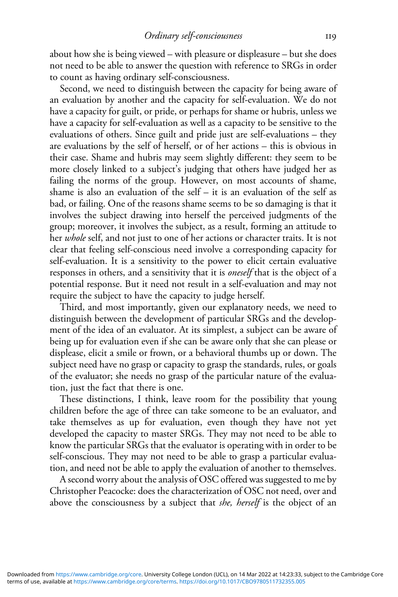about how she is being viewed – with pleasure or displeasure – but she does not need to be able to answer the question with reference to SRGs in order to count as having ordinary self-consciousness.

Second, we need to distinguish between the capacity for being aware of an evaluation by another and the capacity for self-evaluation. We do not have a capacity for guilt, or pride, or perhaps for shame or hubris, unless we have a capacity for self-evaluation as well as a capacity to be sensitive to the evaluations of others. Since guilt and pride just are self-evaluations – they are evaluations by the self of herself, or of her actions – this is obvious in their case. Shame and hubris may seem slightly different: they seem to be more closely linked to a subject's judging that others have judged her as failing the norms of the group. However, on most accounts of shame, shame is also an evaluation of the self – it is an evaluation of the self as bad, or failing. One of the reasons shame seems to be so damaging is that it involves the subject drawing into herself the perceived judgments of the group; moreover, it involves the subject, as a result, forming an attitude to her whole self, and not just to one of her actions or character traits. It is not clear that feeling self-conscious need involve a corresponding capacity for self-evaluation. It is a sensitivity to the power to elicit certain evaluative responses in others, and a sensitivity that it is oneself that is the object of a potential response. But it need not result in a self-evaluation and may not require the subject to have the capacity to judge herself.

Third, and most importantly, given our explanatory needs, we need to distinguish between the development of particular SRGs and the development of the idea of an evaluator. At its simplest, a subject can be aware of being up for evaluation even if she can be aware only that she can please or displease, elicit a smile or frown, or a behavioral thumbs up or down. The subject need have no grasp or capacity to grasp the standards, rules, or goals of the evaluator; she needs no grasp of the particular nature of the evaluation, just the fact that there is one.

These distinctions, I think, leave room for the possibility that young children before the age of three can take someone to be an evaluator, and take themselves as up for evaluation, even though they have not yet developed the capacity to master SRGs. They may not need to be able to know the particular SRGs that the evaluator is operating with in order to be self-conscious. They may not need to be able to grasp a particular evaluation, and need not be able to apply the evaluation of another to themselves.

A second worry about the analysis of OSC offered was suggested to me by Christopher Peacocke: does the characterization of OSC not need, over and above the consciousness by a subject that *she*, *herself* is the object of an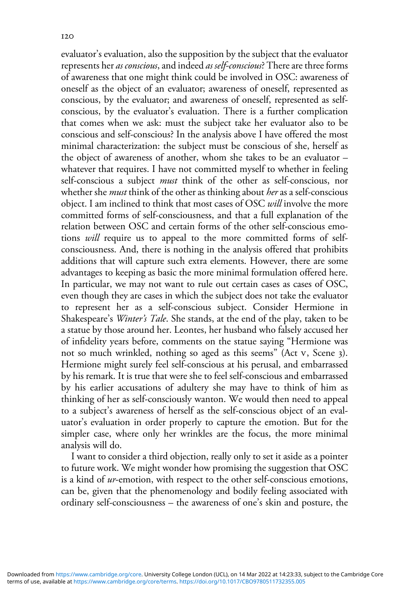evaluator's evaluation, also the supposition by the subject that the evaluator represents her as conscious, and indeed as self-conscious? There are three forms of awareness that one might think could be involved in OSC: awareness of oneself as the object of an evaluator; awareness of oneself, represented as conscious, by the evaluator; and awareness of oneself, represented as selfconscious, by the evaluator's evaluation. There is a further complication that comes when we ask: must the subject take her evaluator also to be conscious and self-conscious? In the analysis above I have offered the most minimal characterization: the subject must be conscious of she, herself as the object of awareness of another, whom she takes to be an evaluator – whatever that requires. I have not committed myself to whether in feeling self-conscious a subject *must* think of the other as self-conscious, nor whether she *must* think of the other as thinking about *her* as a self-conscious object. I am inclined to think that most cases of OSC will involve the more committed forms of self-consciousness, and that a full explanation of the relation between OSC and certain forms of the other self-conscious emotions will require us to appeal to the more committed forms of selfconsciousness. And, there is nothing in the analysis offered that prohibits additions that will capture such extra elements. However, there are some advantages to keeping as basic the more minimal formulation offered here. In particular, we may not want to rule out certain cases as cases of OSC, even though they are cases in which the subject does not take the evaluator to represent her as a self-conscious subject. Consider Hermione in Shakespeare's Winter's Tale. She stands, at the end of the play, taken to be a statue by those around her. Leontes, her husband who falsely accused her of infidelity years before, comments on the statue saying "Hermione was not so much wrinkled, nothing so aged as this seems" (Act v, Scene 3). Hermione might surely feel self-conscious at his perusal, and embarrassed by his remark. It is true that were she to feel self-conscious and embarrassed by his earlier accusations of adultery she may have to think of him as thinking of her as self-consciously wanton. We would then need to appeal to a subject's awareness of herself as the self-conscious object of an evaluator's evaluation in order properly to capture the emotion. But for the simpler case, where only her wrinkles are the focus, the more minimal analysis will do.

I want to consider a third objection, really only to set it aside as a pointer to future work. We might wonder how promising the suggestion that OSC is a kind of ur-emotion, with respect to the other self-conscious emotions, can be, given that the phenomenology and bodily feeling associated with ordinary self-consciousness – the awareness of one's skin and posture, the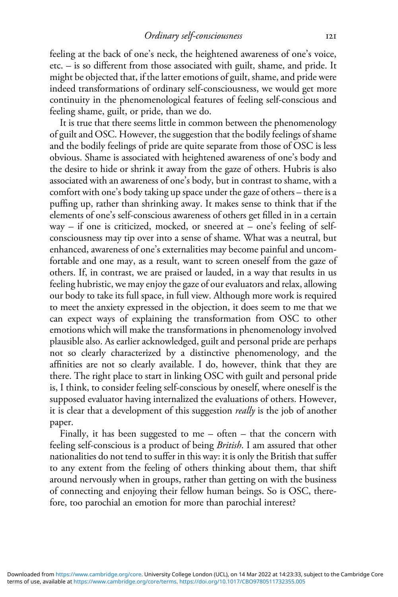feeling at the back of one's neck, the heightened awareness of one's voice, etc. – is so different from those associated with guilt, shame, and pride. It might be objected that, if the latter emotions of guilt, shame, and pride were indeed transformations of ordinary self-consciousness, we would get more continuity in the phenomenological features of feeling self-conscious and feeling shame, guilt, or pride, than we do.

It is true that there seems little in common between the phenomenology of guilt and OSC. However, the suggestion that the bodily feelings of shame and the bodily feelings of pride are quite separate from those of OSC is less obvious. Shame is associated with heightened awareness of one's body and the desire to hide or shrink it away from the gaze of others. Hubris is also associated with an awareness of one's body, but in contrast to shame, with a comfort with one's body taking up space under the gaze of others – there is a puffing up, rather than shrinking away. It makes sense to think that if the elements of one's self-conscious awareness of others get filled in in a certain way – if one is criticized, mocked, or sneered at – one's feeling of selfconsciousness may tip over into a sense of shame. What was a neutral, but enhanced, awareness of one's externalities may become painful and uncomfortable and one may, as a result, want to screen oneself from the gaze of others. If, in contrast, we are praised or lauded, in a way that results in us feeling hubristic, we may enjoy the gaze of our evaluators and relax, allowing our body to take its full space, in full view. Although more work is required to meet the anxiety expressed in the objection, it does seem to me that we can expect ways of explaining the transformation from OSC to other emotions which will make the transformations in phenomenology involved plausible also. As earlier acknowledged, guilt and personal pride are perhaps not so clearly characterized by a distinctive phenomenology, and the affinities are not so clearly available. I do, however, think that they are there. The right place to start in linking OSC with guilt and personal pride is, I think, to consider feeling self-conscious by oneself, where oneself is the supposed evaluator having internalized the evaluations of others. However, it is clear that a development of this suggestion really is the job of another paper.

Finally, it has been suggested to me – often – that the concern with feeling self-conscious is a product of being British. I am assured that other nationalities do not tend to suffer in this way: it is only the British that suffer to any extent from the feeling of others thinking about them, that shift around nervously when in groups, rather than getting on with the business of connecting and enjoying their fellow human beings. So is OSC, therefore, too parochial an emotion for more than parochial interest?